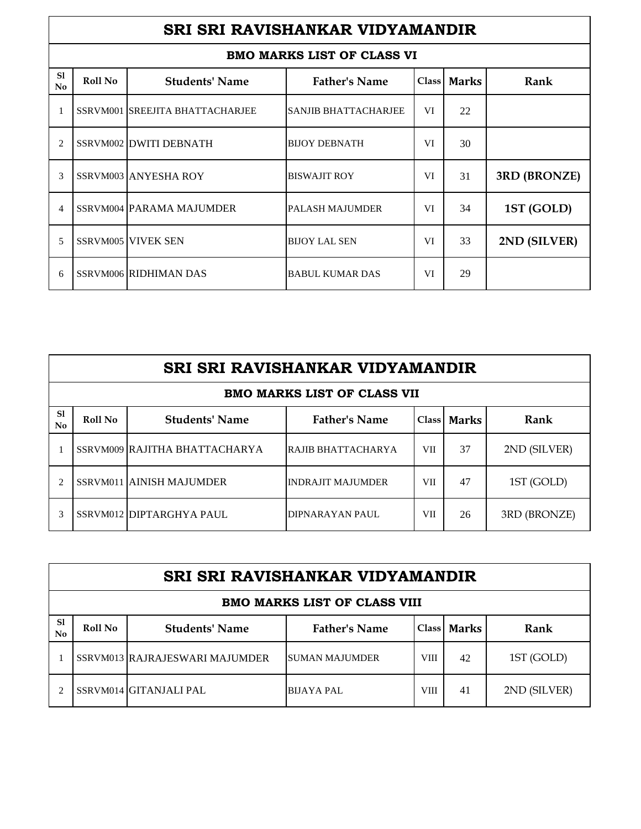|                                 | SRI SRI RAVISHANKAR VIDYAMANDIR |                                 |                                   |    |             |              |  |  |
|---------------------------------|---------------------------------|---------------------------------|-----------------------------------|----|-------------|--------------|--|--|
|                                 |                                 |                                 | <b>BMO MARKS LIST OF CLASS VI</b> |    |             |              |  |  |
| <sub>S1</sub><br>N <sub>0</sub> | Roll No                         | <b>Students' Name</b>           | <b>Father's Name</b>              |    | Class Marks | Rank         |  |  |
|                                 |                                 | SSRVM001 SREEJITA BHATTACHARJEE | <b>SANJIB BHATTACHARJEE</b>       | VI | 22          |              |  |  |
| 2                               |                                 | SSRVM002 DWITI DEBNATH          | <b>BIJOY DEBNATH</b>              | VI | 30          |              |  |  |
| 3                               |                                 | <b>SSRVM003 ANYESHA ROY</b>     | <b>BISWAJIT ROY</b>               | VI | 31          | 3RD (BRONZE) |  |  |
| 4                               |                                 | SSRVM004 PARAMA MAJUMDER        | <b>PALASH MAJUMDER</b>            | VI | 34          | 1ST (GOLD)   |  |  |
| $\overline{5}$                  |                                 | <b>SSRVM005 VIVEK SEN</b>       | <b>BIJOY LAL SEN</b>              | VI | 33          | 2ND (SILVER) |  |  |
| 6                               |                                 | <b>SSRVM006 RIDHIMAN DAS</b>    | <b>BABUL KUMAR DAS</b>            | VI | 29          |              |  |  |

|                      | SRI SRI RAVISHANKAR VIDYAMANDIR |                               |                           |     |             |              |  |  |  |
|----------------------|---------------------------------|-------------------------------|---------------------------|-----|-------------|--------------|--|--|--|
|                      | BMO MARKS LIST OF CLASS VII     |                               |                           |     |             |              |  |  |  |
| S1<br>N <sub>0</sub> | Roll No                         | <b>Students' Name</b>         | <b>Father's Name</b>      |     | Class Marks | Rank         |  |  |  |
|                      |                                 | SSRVM009 RAJITHA BHATTACHARYA | <b>RAJIB BHATTACHARYA</b> | VII | 37          | 2ND (SILVER) |  |  |  |
|                      |                                 | SSRVM011 AINISH MAJUMDER      | <b>INDRAJIT MAJUMDER</b>  | VII | 47          | 1ST (GOLD)   |  |  |  |
|                      |                                 | SSRVM012 DIPTARGHYA PAUL      | DIPNARAYAN PAUL           | VII | 26          | 3RD (BRONZE) |  |  |  |

|          | SRI SRI RAVISHANKAR VIDYAMANDIR     |                                |                       |             |             |              |  |  |  |
|----------|-------------------------------------|--------------------------------|-----------------------|-------------|-------------|--------------|--|--|--|
|          | <b>BMO MARKS LIST OF CLASS VIII</b> |                                |                       |             |             |              |  |  |  |
| S1<br>No | Roll No                             | <b>Students' Name</b>          | <b>Father's Name</b>  |             | Class Marks | Rank         |  |  |  |
|          |                                     | SSRVM013 RAJRAJESWARI MAJUMDER | <b>SUMAN MAJUMDER</b> | <b>VIII</b> | 42          | 1ST (GOLD)   |  |  |  |
|          |                                     | SSRVM014 GITANJALI PAL         | <b>BIJAYA PAL</b>     | VIII        | 41          | 2ND (SILVER) |  |  |  |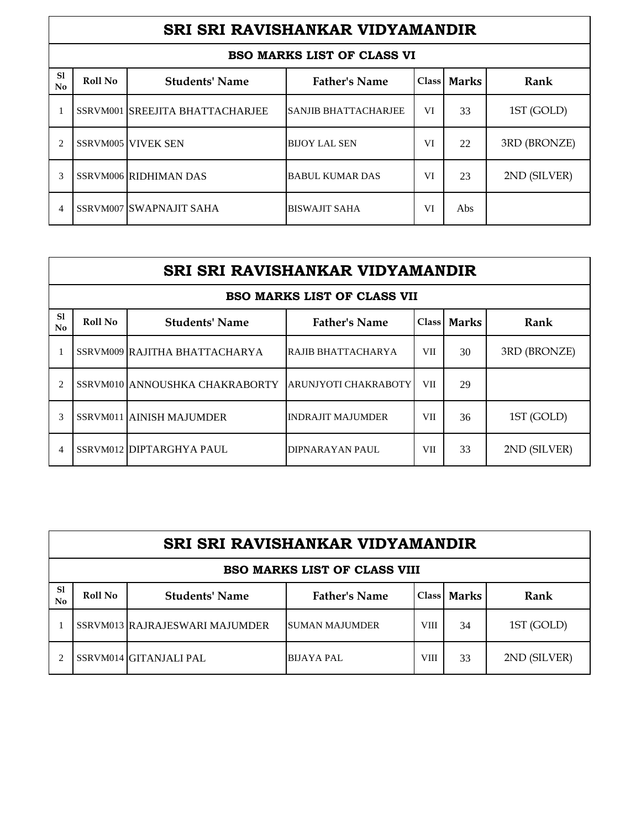|                      | SRI SRI RAVISHANKAR VIDYAMANDIR |                                 |                                   |    |               |              |  |  |  |
|----------------------|---------------------------------|---------------------------------|-----------------------------------|----|---------------|--------------|--|--|--|
|                      |                                 |                                 | <b>BSO MARKS LIST OF CLASS VI</b> |    |               |              |  |  |  |
| S1<br>N <sub>0</sub> | Roll No                         | <b>Students' Name</b>           | <b>Father's Name</b>              |    | Class   Marks | Rank         |  |  |  |
|                      |                                 | SSRVM001 SREEJITA BHATTACHARJEE | <b>SANJIB BHATTACHARJEE</b>       | VI | 33            | 1ST (GOLD)   |  |  |  |
| $\mathfrak{D}$       |                                 | <b>SSRVM005 VIVEK SEN</b>       | <b>BIJOY LAL SEN</b>              | VI | 22            | 3RD (BRONZE) |  |  |  |
| $\mathcal{R}$        |                                 | <b>SSRVM006 RIDHIMAN DAS</b>    | <b>BABUL KUMAR DAS</b>            | VI | 23            | 2ND (SILVER) |  |  |  |
| 4                    |                                 | SSRVM007 SWAPNAJIT SAHA         | <b>BISWAJIT SAHA</b>              | VI | Abs           |              |  |  |  |

|          | SRI SRI RAVISHANKAR VIDYAMANDIR                                                   |                                |                                    |            |    |              |  |  |  |
|----------|-----------------------------------------------------------------------------------|--------------------------------|------------------------------------|------------|----|--------------|--|--|--|
|          |                                                                                   |                                | <b>BSO MARKS LIST OF CLASS VII</b> |            |    |              |  |  |  |
| S1<br>No | <b>Father's Name</b><br><b>Students' Name</b><br>Rank<br>Roll No<br>Class   Marks |                                |                                    |            |    |              |  |  |  |
|          |                                                                                   | SSRVM009 RAJITHA BHATTACHARYA  | RAJIB BHATTACHARYA                 | VII        | 30 | 3RD (BRONZE) |  |  |  |
| 2        |                                                                                   | SSRVM010 ANNOUSHKA CHAKRABORTY | ARUNJYOTI CHAKRABOTY               | <b>VII</b> | 29 |              |  |  |  |
| 3        |                                                                                   | SSRVM011 AINISH MAJUMDER       | <b>INDRAJIT MAJUMDER</b>           | <b>VII</b> | 36 | 1ST (GOLD)   |  |  |  |
| 4        |                                                                                   | SSRVM012 DIPTARGHYA PAUL       | DIPNARAYAN PAUL                    | <b>VII</b> | 33 | 2ND (SILVER) |  |  |  |

|          | SRI SRI RAVISHANKAR VIDYAMANDIR     |                                |                        |             |             |              |  |  |  |
|----------|-------------------------------------|--------------------------------|------------------------|-------------|-------------|--------------|--|--|--|
|          | <b>BSO MARKS LIST OF CLASS VIII</b> |                                |                        |             |             |              |  |  |  |
| S1<br>No | Roll No                             | <b>Students' Name</b>          | <b>Father's Name</b>   |             | Class Marks | Rank         |  |  |  |
|          |                                     | SSRVM013 RAJRAJESWARI MAJUMDER | <b>ISUMAN MAJUMDER</b> | <b>VIII</b> | 34          | 1ST (GOLD)   |  |  |  |
|          |                                     | SSRVM014 GITANJALI PAL         | <b>BIJAYA PAL</b>      | VIII        | 33          | 2ND (SILVER) |  |  |  |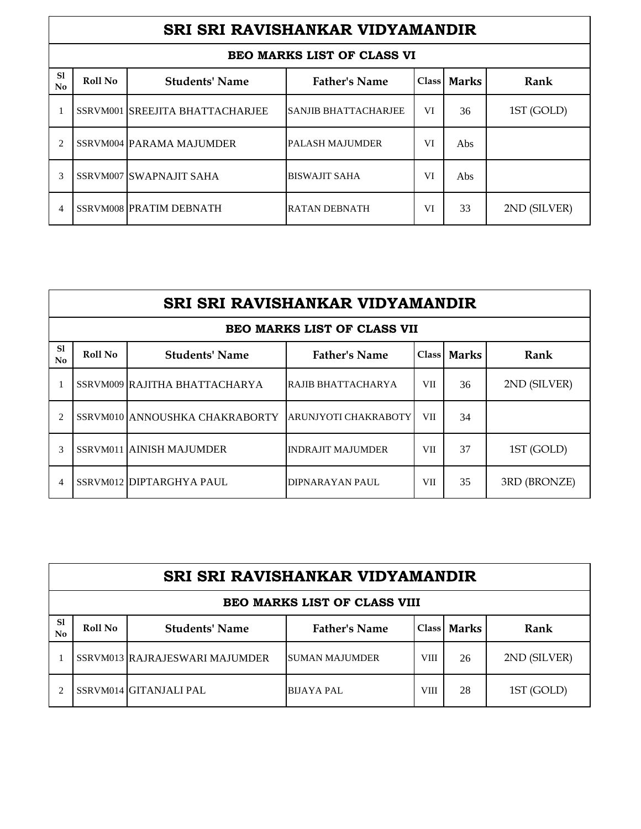|                      | SRI SRI RAVISHANKAR VIDYAMANDIR |                                 |                             |    |             |              |  |  |  |
|----------------------|---------------------------------|---------------------------------|-----------------------------|----|-------------|--------------|--|--|--|
|                      |                                 |                                 | BEO MARKS LIST OF CLASS VI  |    |             |              |  |  |  |
| S <sub>1</sub><br>No | Roll No                         | <b>Students' Name</b>           | <b>Father's Name</b>        |    | Class Marks | Rank         |  |  |  |
|                      |                                 | SSRVM001 SREEJITA BHATTACHARJEE | <b>SANJIB BHATTACHARJEE</b> | VI | 36          | 1ST (GOLD)   |  |  |  |
| 2                    |                                 | SSRVM004 PARAMA MAJUMDER        | <b>PALASH MAJUMDER</b>      | VI | Abs         |              |  |  |  |
| 3                    |                                 | SSRVM007 SWAPNAJIT SAHA         | <b>BISWAJIT SAHA</b>        | VI | Abs         |              |  |  |  |
| 4                    |                                 | SSRVM008 PRATIM DEBNATH         | RATAN DEBNATH               | VI | 33          | 2ND (SILVER) |  |  |  |

|                                 | SRI SRI RAVISHANKAR VIDYAMANDIR                                                   |                                |                                    |            |    |              |  |  |  |
|---------------------------------|-----------------------------------------------------------------------------------|--------------------------------|------------------------------------|------------|----|--------------|--|--|--|
|                                 |                                                                                   |                                | <b>BEO MARKS LIST OF CLASS VII</b> |            |    |              |  |  |  |
| <sub>S1</sub><br>N <sub>0</sub> | <b>Father's Name</b><br>Roll No<br>Rank<br><b>Students' Name</b><br>Class   Marks |                                |                                    |            |    |              |  |  |  |
|                                 |                                                                                   | SSRVM009 RAJITHA BHATTACHARYA  | RAJIB BHATTACHARYA                 | <b>VII</b> | 36 | 2ND (SILVER) |  |  |  |
| 2                               |                                                                                   | SSRVM010 ANNOUSHKA CHAKRABORTY | <b>ARUNJYOTI CHAKRABOTY</b>        | VII        | 34 |              |  |  |  |
| 3                               |                                                                                   | SSRVM011 AINISH MAJUMDER       | <b>INDRAJIT MAJUMDER</b>           | <b>VII</b> | 37 | 1ST (GOLD)   |  |  |  |
| 4                               |                                                                                   | SSRVM012 DIPTARGHYA PAUL       | DIPNARAYAN PAUL                    | <b>VII</b> | 35 | 3RD (BRONZE) |  |  |  |

|                      | SRI SRI RAVISHANKAR VIDYAMANDIR     |                                |                        |             |             |              |  |  |  |
|----------------------|-------------------------------------|--------------------------------|------------------------|-------------|-------------|--------------|--|--|--|
|                      | <b>BEO MARKS LIST OF CLASS VIII</b> |                                |                        |             |             |              |  |  |  |
| S <sub>1</sub><br>No | Roll No                             | <b>Students' Name</b>          | <b>Father's Name</b>   |             | Class Marks | Rank         |  |  |  |
|                      |                                     | SSRVM013 RAJRAJESWARI MAJUMDER | <b>ISUMAN MAJUMDER</b> | <b>VIII</b> | 26          | 2ND (SILVER) |  |  |  |
|                      |                                     | SSRVM014 GITANJALI PAL         | <b>BIJAYA PAL</b>      | <b>VIII</b> | 28          | 1ST (GOLD)   |  |  |  |